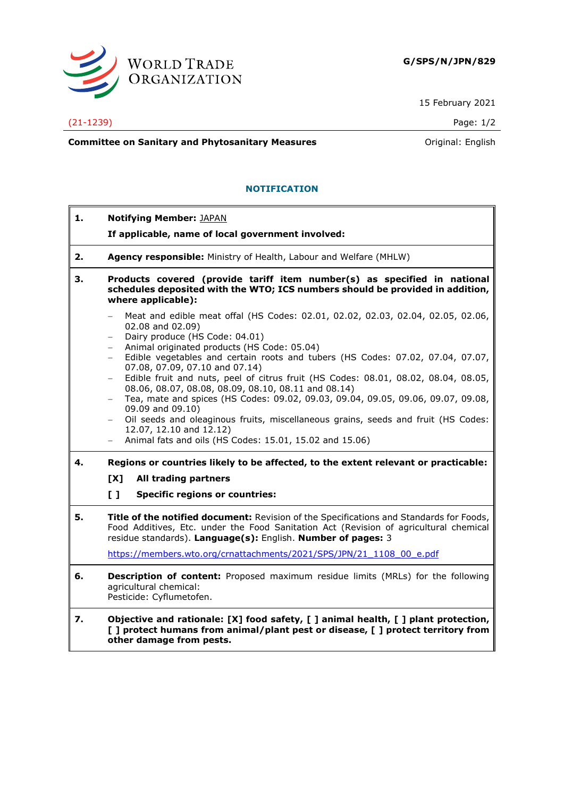

15 February 2021

## (21-1239) Page: 1/2

 $\overline{a}$ 

7

**Committee on Sanitary and Phytosanitary Measures Committee on Sanitary and Phytosanitary Measures Committee on Sanitary and Phytosanitary Measures** 

## **NOTIFICATION**

| 1. | <b>Notifying Member: JAPAN</b>                                                                                                                                                                                                                                                                                   |
|----|------------------------------------------------------------------------------------------------------------------------------------------------------------------------------------------------------------------------------------------------------------------------------------------------------------------|
|    | If applicable, name of local government involved:                                                                                                                                                                                                                                                                |
| 2. | Agency responsible: Ministry of Health, Labour and Welfare (MHLW)                                                                                                                                                                                                                                                |
| 3. | Products covered (provide tariff item number(s) as specified in national<br>schedules deposited with the WTO; ICS numbers should be provided in addition,<br>where applicable):                                                                                                                                  |
|    | Meat and edible meat offal (HS Codes: 02.01, 02.02, 02.03, 02.04, 02.05, 02.06,<br>02.08 and 02.09)<br>Dairy produce (HS Code: 04.01)<br>$\overline{\phantom{0}}$<br>Animal originated products (HS Code: 05.04)<br>$-$<br>Edible vegetables and certain roots and tubers (HS Codes: 07.02, 07.04, 07.07,<br>$-$ |
|    | 07.08, 07.09, 07.10 and 07.14)<br>Edible fruit and nuts, peel of citrus fruit (HS Codes: 08.01, 08.02, 08.04, 08.05,<br>$-$<br>08.06, 08.07, 08.08, 08.09, 08.10, 08.11 and 08.14)<br>Tea, mate and spices (HS Codes: 09.02, 09.03, 09.04, 09.05, 09.06, 09.07, 09.08,<br>$-$<br>09.09 and 09.10)                |
|    | Oil seeds and oleaginous fruits, miscellaneous grains, seeds and fruit (HS Codes:<br>$-$<br>12.07, 12.10 and 12.12)<br>Animal fats and oils (HS Codes: 15.01, 15.02 and 15.06)<br>$\overline{\phantom{0}}$                                                                                                       |
| 4. | Regions or countries likely to be affected, to the extent relevant or practicable:                                                                                                                                                                                                                               |
|    | [X]<br>All trading partners                                                                                                                                                                                                                                                                                      |
|    | $\mathbf{L}$<br><b>Specific regions or countries:</b>                                                                                                                                                                                                                                                            |
| 5. | Title of the notified document: Revision of the Specifications and Standards for Foods,<br>Food Additives, Etc. under the Food Sanitation Act (Revision of agricultural chemical<br>residue standards). Language(s): English. Number of pages: 3                                                                 |
|    | https://members.wto.org/crnattachments/2021/SPS/JPN/21 1108 00 e.pdf                                                                                                                                                                                                                                             |
| 6. | <b>Description of content:</b> Proposed maximum residue limits (MRLs) for the following<br>agricultural chemical:<br>Pesticide: Cyflumetofen.                                                                                                                                                                    |
| 7. | Objective and rationale: [X] food safety, [ ] animal health, [ ] plant protection,<br>[ ] protect humans from animal/plant pest or disease, [ ] protect territory from<br>other damage from pests.                                                                                                               |